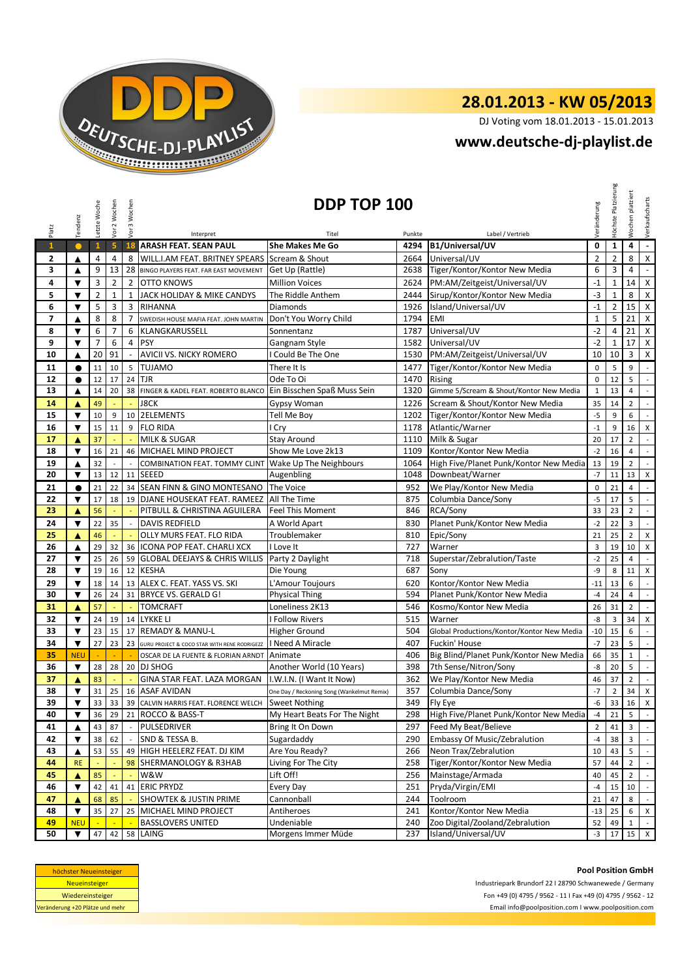

## **28.01.2013 - KW 05/2013**

DJ Voting vom 18.01.2013 - 15.01.2013

## **www.deutsche-dj-playlist.de**

|                                                                                                                                                                                   | Tendenz                 | Letzte Woche   | Vor 2 Wochen            | Vor 3 Wochen   | DDP TOP 100<br>/eränderung                                                                                        |                                            |        |                                                         |                |                |                         | Verkaufscharts              |  |
|-----------------------------------------------------------------------------------------------------------------------------------------------------------------------------------|-------------------------|----------------|-------------------------|----------------|-------------------------------------------------------------------------------------------------------------------|--------------------------------------------|--------|---------------------------------------------------------|----------------|----------------|-------------------------|-----------------------------|--|
| Platz                                                                                                                                                                             |                         |                |                         |                | Interpret                                                                                                         | Titel                                      | Punkte | Label / Vertrieb                                        |                | Höchste        | Wochen platziert        |                             |  |
| $\mathbf{1}$                                                                                                                                                                      | $\bullet$               | $\mathbf{1}$   | $\overline{\mathbf{5}}$ | 18             | <b>ARASH FEAT. SEAN PAUL</b>                                                                                      | <b>She Makes Me Go</b>                     | 4294   | B1/Universal/UV                                         | 0              | $\mathbf{1}$   | $\pmb{4}$               | $\omega$                    |  |
| $\mathbf{2}$                                                                                                                                                                      | ▲                       | $\overline{4}$ | $\overline{4}$          | 8              | <b>WILL.I.AM FEAT. BRITNEY SPEARS</b>                                                                             | Scream & Shout                             | 2664   | Universal/UV                                            | $\overline{2}$ | $\overline{2}$ | 8                       | $\mathsf{X}$                |  |
| 3                                                                                                                                                                                 | ▲                       | 9              | 13                      | 28             | BINGO PLAYERS FEAT. FAR EAST MOVEMENT                                                                             | Get Up (Rattle)                            | 2638   | Tiger/Kontor/Kontor New Media                           | 6              | 3              | 4                       | $\blacksquare$              |  |
| 4                                                                                                                                                                                 | ▼                       | 3              | $\overline{2}$          | $\overline{2}$ | <b>OTTO KNOWS</b>                                                                                                 | <b>Million Voices</b>                      | 2624   | PM:AM/Zeitgeist/Universal/UV                            | $-1$           | $\mathbf{1}$   | 14                      | $\pmb{\chi}$                |  |
| 5                                                                                                                                                                                 | $\overline{\mathbf{v}}$ | $\overline{2}$ | $\mathbf 1$             | $\mathbf{1}$   | JACK HOLIDAY & MIKE CANDYS                                                                                        | The Riddle Anthem                          | 2444   | Sirup/Kontor/Kontor New Media                           | $-3$           | $\mathbf{1}$   | 8                       | $\pmb{\mathsf{X}}$          |  |
| 6                                                                                                                                                                                 | $\blacktriangledown$    | 5              | 3                       | 3              | <b>RIHANNA</b>                                                                                                    | Diamonds                                   | 1926   | Island/Universal/UV                                     | $-1$           | $\overline{2}$ | 15                      | $\mathsf{X}$                |  |
| $\overline{ }$                                                                                                                                                                    | ▲                       | 8              | 8                       | $\overline{7}$ | SWEDISH HOUSE MAFIA FEAT. JOHN MARTIN                                                                             | Don't You Worry Child                      | 1794   | EMI                                                     | $\mathbf{1}$   | 5              | 21                      | X                           |  |
| 8                                                                                                                                                                                 | $\blacktriangledown$    | 6              | $\overline{7}$          | 6              | KLANGKARUSSELL                                                                                                    | Sonnentanz                                 | 1787   | Universal/UV                                            | $-2$           | 4              | 21                      | $\boldsymbol{\mathsf{x}}$   |  |
| 9                                                                                                                                                                                 | $\blacktriangledown$    | $\overline{7}$ | 6                       | 4              | PSY                                                                                                               | Gangnam Style                              | 1582   | Universal/UV                                            | $-2$           | $\mathbf{1}$   | 17                      | $\boldsymbol{\mathsf{x}}$   |  |
| 10                                                                                                                                                                                | ▲                       | 20             | 91                      |                | AVICII VS. NICKY ROMERO                                                                                           | I Could Be The One                         | 1530   | PM:AM/Zeitgeist/Universal/UV                            | 10             | 10             | 3                       | X                           |  |
| 11                                                                                                                                                                                | $\bullet$               | 11             | 10                      | 5              | <b>TUJAMO</b>                                                                                                     | There It Is                                | 1477   | Tiger/Kontor/Kontor New Media                           | $\mathbf 0$    | 5              | 9                       | $\mathcal{L}$               |  |
| 12                                                                                                                                                                                | $\bullet$               | 12             | 17                      | 24             | <b>TJR</b>                                                                                                        | Ode To Oi                                  | 1470   | <b>Rising</b>                                           | 0              | 12             | 5                       | $\sim$                      |  |
| 13                                                                                                                                                                                | ▲                       | 14             | 20                      | 38             | FINGER & KADEL FEAT. ROBERTO BLANCO                                                                               | Ein Bisschen Spaß Muss Sein                | 1320   | Gimme 5/Scream & Shout/Kontor New Media                 | $\mathbf{1}$   | 13             | $\overline{4}$          | $\sim$                      |  |
|                                                                                                                                                                                   |                         |                |                         |                |                                                                                                                   |                                            |        |                                                         |                |                |                         |                             |  |
| 14                                                                                                                                                                                | ▲                       | 49             |                         |                | <b>J8CK</b>                                                                                                       | Gypsy Woman                                | 1226   | Scream & Shout/Kontor New Media                         | 35             | 14             | $\overline{2}$          | $\mathbb{Z}^{\times}$       |  |
| 15                                                                                                                                                                                | $\blacktriangledown$    | 10             | 9                       |                | 10 2ELEMENTS                                                                                                      | Tell Me Boy                                | 1202   | Tiger/Kontor/Kontor New Media                           | $-5$           | 9              | 6                       | $\overline{\phantom{a}}$    |  |
| 16                                                                                                                                                                                | $\overline{\mathbf{v}}$ | 15             | 11                      | 9              | <b>FLO RIDA</b>                                                                                                   | I Cry                                      | 1178   | Atlantic/Warner                                         | $^{\rm -1}$    | 9              | 16                      | $\pmb{\mathsf{X}}$          |  |
| 17                                                                                                                                                                                | ▲                       | 37             |                         |                | <b>MILK &amp; SUGAR</b>                                                                                           | <b>Stay Around</b>                         | 1110   | Milk & Sugar                                            | 20             | 17             | $\overline{2}$          | $\mathbb{R}^{\mathbb{Z}}$   |  |
| 18                                                                                                                                                                                | $\blacktriangledown$    | 16             | 21                      |                | 46 MICHAEL MIND PROJECT                                                                                           | Show Me Love 2k13                          | 1109   | Kontor/Kontor New Media                                 | $-2$           | 16             | 4                       | $\overline{\phantom{a}}$    |  |
| 19                                                                                                                                                                                | ▲                       | 32             |                         |                | COMBINATION FEAT. TOMMY CLINT                                                                                     | Wake Up The Neighbours                     | 1064   | High Five/Planet Punk/Kontor New Media                  | 13             | 19             | $\overline{2}$          | $\mathcal{L}_{\mathcal{A}}$ |  |
| 20                                                                                                                                                                                | ▼                       | 13             | 12                      |                | 11 SEEED                                                                                                          | Augenbling                                 | 1048   | Downbeat/Warner                                         | $-7$           | 11             | 13                      | $\times$                    |  |
| 21                                                                                                                                                                                | $\bullet$               | 21             | 22                      |                | 34 SEAN FINN & GINO MONTESANO                                                                                     | The Voice                                  | 952    | We Play/Kontor New Media                                | 0              | 21             | $\overline{4}$          | $\sim$                      |  |
| 22                                                                                                                                                                                | ▼                       | 17             | 18                      |                | 19 DJANE HOUSEKAT FEAT. RAMEEZ                                                                                    | All The Time                               | 875    | Columbia Dance/Sony                                     | $-5$           | 17             | 5                       | $\sim$                      |  |
| 23                                                                                                                                                                                | ▲                       | 56             |                         |                | PITBULL & CHRISTINA AGUILERA                                                                                      | <b>Feel This Moment</b>                    | 846    | RCA/Sony                                                | 33             | 23             | $\overline{2}$          | $\sim$                      |  |
| 24                                                                                                                                                                                | $\blacktriangledown$    | 22             | 35                      | $\sim$         | <b>DAVIS REDFIELD</b>                                                                                             | A World Apart                              | 830    | Planet Punk/Kontor New Media                            | $-2$           | 22             | $\overline{\mathbf{3}}$ | $\sim$                      |  |
| 25                                                                                                                                                                                | ▲                       | 46             |                         |                | OLLY MURS FEAT. FLO RIDA                                                                                          | Troublemaker                               | 810    | Epic/Sony                                               | 21             | 25             | $\overline{2}$          | X                           |  |
| 26                                                                                                                                                                                | ▲                       | 29             | 32                      |                | 36 ICONA POP FEAT. CHARLI XCX                                                                                     | I Love It                                  | 727    | Warner                                                  | 3              | 19             | 10                      | $\mathsf{x}$                |  |
| 27                                                                                                                                                                                | ▼                       | 25             | 26                      |                | 59 GLOBAL DEEJAYS & CHRIS WILLIS Party 2 Daylight                                                                 |                                            | 718    | Superstar/Zebralution/Taste                             | $-2$           | 25             | $\overline{4}$          | $\sim$                      |  |
| 28                                                                                                                                                                                | $\blacktriangledown$    | 19             | 16                      |                | 12 KESHA                                                                                                          | Die Young                                  | 687    | Sony                                                    | $-9$           | 8              | 11                      | X                           |  |
| 29                                                                                                                                                                                | $\blacktriangledown$    | 18             | 14                      |                | 13 ALEX C. FEAT. YASS VS. SKI                                                                                     | L'Amour Toujours                           | 620    | Kontor/Kontor New Media                                 | $-11$          | 13             | 6                       | $\mathcal{L}$               |  |
| 30                                                                                                                                                                                | $\blacktriangledown$    | 26             | 24                      |                | 31 BRYCE VS. GERALD G!                                                                                            | <b>Physical Thing</b>                      | 594    | Planet Punk/Kontor New Media                            | $-4$           | 24             | $\overline{4}$          | $\overline{\phantom{a}}$    |  |
| 31                                                                                                                                                                                | ▲                       | 57             |                         |                | <b>TOMCRAFT</b>                                                                                                   | Loneliness 2K13                            | 546    | Kosmo/Kontor New Media                                  | 26             | 31             | $\overline{2}$          | $\mathcal{L}^{\mathcal{A}}$ |  |
| 32                                                                                                                                                                                | $\blacktriangledown$    | 24             | 19                      |                | 14 LYKKE LI                                                                                                       | <b>I Follow Rivers</b>                     | 515    | Warner                                                  | -8             | 3              | 34                      | X                           |  |
| 33                                                                                                                                                                                | $\blacktriangledown$    | 23             | 15                      |                | 17 REMADY & MANU-L                                                                                                | Higher Ground                              | 504    | Global Productions/Kontor/Kontor New Media              | $-10$          | 15             | 6                       | $\overline{\phantom{a}}$    |  |
| 34                                                                                                                                                                                | $\blacktriangledown$    | 27             | 23                      | 23             | GURU PROJECT & COCO STAR WITH RENE RODRIGEZZ                                                                      | I Need A Miracle                           | 407    | Fuckin' House                                           | $-7$           | 23             | 5                       | $\sim$                      |  |
| 35                                                                                                                                                                                | <b>NEU</b>              |                |                         | $\sim$         | OSCAR DE LA FUENTE & FLORIAN ARNDT                                                                                | Animate                                    | 406    | Big Blind/Planet Punk/Kontor New Media                  | 66             | 35             | $\mathbf{1}$            | $\mathcal{L}_{\mathcal{A}}$ |  |
| 36                                                                                                                                                                                | $\blacktriangledown$    | 28             | 28                      |                | 20 DJ SHOG                                                                                                        | Another World (10 Years)                   | 398    | 7th Sense/Nitron/Sony                                   | -8             | 20             | 5                       | $\sim$                      |  |
| 37                                                                                                                                                                                | ▲                       | 83             |                         |                | GINA STAR FEAT. LAZA MORGAN   I.W.I.N. (I Want It Now)                                                            |                                            | 362    | We Play/Kontor New Media                                | 46             | 37             | $\overline{2}$          | $\sim$                      |  |
| 38                                                                                                                                                                                | $\blacktriangledown$    | 31             | 25                      |                | 16 ASAF AVIDAN                                                                                                    | One Day / Reckoning Song (Wankelmut Remix) | 357    | Columbia Dance/Sony                                     | $-7$           | $\overline{2}$ | 34                      | $\mathsf{X}$                |  |
| 39                                                                                                                                                                                | $\blacktriangledown$    | 33             | 33                      |                | 39 CALVIN HARRIS FEAT. FLORENCE WELCH Sweet Nothing                                                               |                                            | 349    | Fly Eye                                                 | -6             | 33             | 16                      | $\mathsf X$                 |  |
| 40                                                                                                                                                                                | ▼                       | 36             | 29                      |                | 21 ROCCO & BASS-T                                                                                                 | My Heart Beats For The Night               | 298    | High Five/Planet Punk/Kontor New Media                  | $-4$           | 21             | 5                       | $\sim$                      |  |
| 41                                                                                                                                                                                | ▲                       | 43             | 87                      |                | PULSEDRIVER                                                                                                       | Bring It On Down                           | 297    | Feed My Beat/Believe                                    | $\overline{2}$ | 41             | 3                       | $\sim$                      |  |
| 42                                                                                                                                                                                | ▼                       | 38             | 62                      |                | SND & TESSA B.                                                                                                    | Sugardaddy                                 | 290    | Embassy Of Music/Zebralution                            | $-4$           | 38             | 3                       | $\sim$                      |  |
|                                                                                                                                                                                   |                         | 53             | 55                      |                |                                                                                                                   | Are You Ready?                             |        | Neon Trax/Zebralution                                   |                |                |                         |                             |  |
| 43                                                                                                                                                                                | ▲                       |                |                         | 49             | HIGH HEELERZ FEAT. DJ KIM                                                                                         |                                            | 266    |                                                         | 10             | 43             | 5                       | $\mathbb{R}^n$              |  |
| 44                                                                                                                                                                                | <b>RE</b>               |                |                         | 98             | SHERMANOLOGY & R3HAB                                                                                              | Living For The City                        | 258    | Tiger/Kontor/Kontor New Media                           | 57             | 44             | $\overline{2}$          | $\sim$                      |  |
| 45                                                                                                                                                                                | ▲                       | 85             |                         |                | W&W                                                                                                               | Lift Off!                                  | 256    | Mainstage/Armada                                        | 40             | 45             | $\overline{2}$          | $\mathcal{L}_{\mathcal{A}}$ |  |
| 46                                                                                                                                                                                | $\blacktriangledown$    | 42             | 41                      | 41             | <b>ERIC PRYDZ</b>                                                                                                 | Every Day                                  | 251    | Pryda/Virgin/EMI                                        | $-4$           | 15             | 10                      | $\sim$                      |  |
| 47                                                                                                                                                                                | ▲                       | 68             | 85                      |                | <b>SHOWTEK &amp; JUSTIN PRIME</b>                                                                                 | Cannonball                                 | 244    | Toolroom                                                | 21             | 47             | 8                       | $\sim$                      |  |
| 48                                                                                                                                                                                | $\blacktriangledown$    | 35             | 27                      | 25             | MICHAEL MIND PROJECT                                                                                              | Antiheroes                                 | 241    | Kontor/Kontor New Media                                 | $-13$          | 25             | 6                       | X                           |  |
| 49                                                                                                                                                                                | <b>NEU</b>              |                |                         |                | <b>BASSLOVERS UNITED</b>                                                                                          | Undeniable                                 | 240    | Zoo Digital/Zooland/Zebralution                         | 52             | 49             | $\mathbf{1}$            | $\sim$                      |  |
| Morgens Immer Müde<br>Island/Universal/UV<br>50<br>▼<br>47<br>42<br>58<br>LAING<br>237<br>$-3$<br>17<br>15<br>$\mathsf{X}$<br><b>Pool Position GmbH</b><br>höchster Neueinsteiger |                         |                |                         |                |                                                                                                                   |                                            |        |                                                         |                |                |                         |                             |  |
|                                                                                                                                                                                   | Neueinsteiger           |                |                         |                |                                                                                                                   |                                            |        | Industriepark Brundorf 22   28790 Schwanewede / Germany |                |                |                         |                             |  |
|                                                                                                                                                                                   | Wiedereinsteiger        |                |                         |                |                                                                                                                   |                                            |        |                                                         |                |                |                         |                             |  |
| Veränderung +20 Plätze und mehr                                                                                                                                                   |                         |                |                         |                | Fon +49 (0) 4795 / 9562 - 11   Fax +49 (0) 4795 / 9562 - 12<br>Email info@poolposition.com I www.poolposition.com |                                            |        |                                                         |                |                |                         |                             |  |

| höchster Neueinsteiger          |
|---------------------------------|
| <b>Neueinsteiger</b>            |
| Wiedereinsteiger                |
| Veränderung +20 Plätze und mehr |